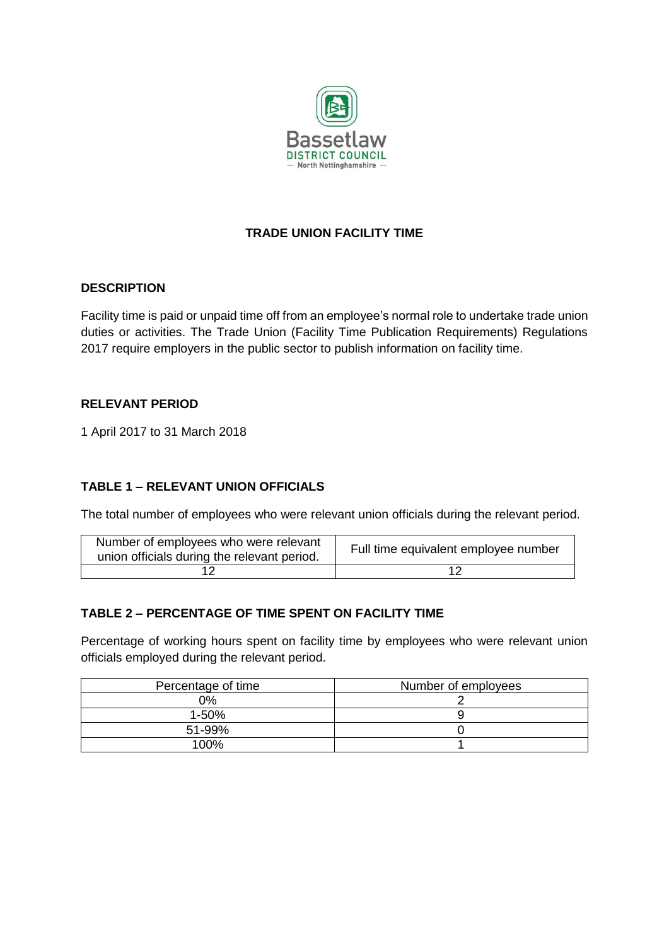

# **TRADE UNION FACILITY TIME**

#### **DESCRIPTION**

Facility time is paid or unpaid time off from an employee's normal role to undertake trade union duties or activities. The Trade Union (Facility Time Publication Requirements) Regulations 2017 require employers in the public sector to publish information on facility time.

#### **RELEVANT PERIOD**

1 April 2017 to 31 March 2018

## **TABLE 1 – RELEVANT UNION OFFICIALS**

The total number of employees who were relevant union officials during the relevant period.

| Number of employees who were relevant<br>union officials during the relevant period. | Full time equivalent employee number |
|--------------------------------------------------------------------------------------|--------------------------------------|
|                                                                                      |                                      |

## **TABLE 2 – PERCENTAGE OF TIME SPENT ON FACILITY TIME**

Percentage of working hours spent on facility time by employees who were relevant union officials employed during the relevant period.

| Percentage of time | Number of employees |
|--------------------|---------------------|
| 0%                 |                     |
| $1 - 50%$          |                     |
| 51-99%             |                     |
| 100%               |                     |